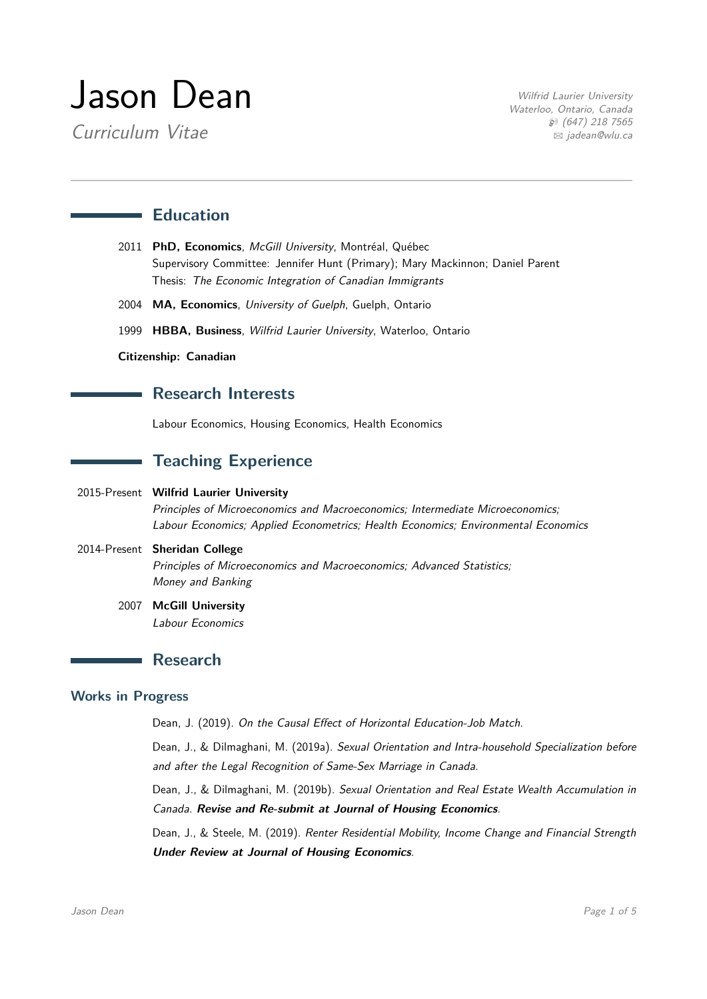# Jason Dean

Curriculum Vitae

Wilfrid Laurier University Waterloo, Ontario, Canada  $\wp$  (647) 218 7565 B [jadean@wlu.ca](mailto:jadean@wlu.ca)

## **Education**

- 2011 PhD, Economics, McGill University, Montréal, Québec Supervisory Committee: Jennifer Hunt (Primary); Mary Mackinnon; Daniel Parent Thesis: The Economic Integration of Canadian Immigrants
- 2004 **MA, Economics**, University of Guelph, Guelph, Ontario
- 1999 **HBBA, Business**, Wilfrid Laurier University, Waterloo, Ontario

#### **Citizenship: Canadian**

### **Research Interests**

Labour Economics, Housing Economics, Health Economics

## **Teaching Experience**

#### 2015-Present **Wilfrid Laurier University**

Principles of Microeconomics and Macroeconomics; Intermediate Microeconomics; Labour Economics; Applied Econometrics; Health Economics; Environmental Economics

## 2014-Present **Sheridan College** Principles of Microeconomics and Macroeconomics; Advanced Statistics; Money and Banking

2007 **McGill University** Labour Economics

# **Research**

#### **Works in Progress**

Dean, J. (2019). On the Causal Effect of Horizontal Education-Job Match.

Dean, J., & Dilmaghani, M. (2019a). Sexual Orientation and Intra-household Specialization before and after the Legal Recognition of Same-Sex Marriage in Canada.

Dean, J., & Dilmaghani, M. (2019b). Sexual Orientation and Real Estate Wealth Accumulation in Canada. **Revise and Re-submit at Journal of Housing Economics**.

Dean, J., & Steele, M. (2019). Renter Residential Mobility, Income Change and Financial Strength **Under Review at Journal of Housing Economics**.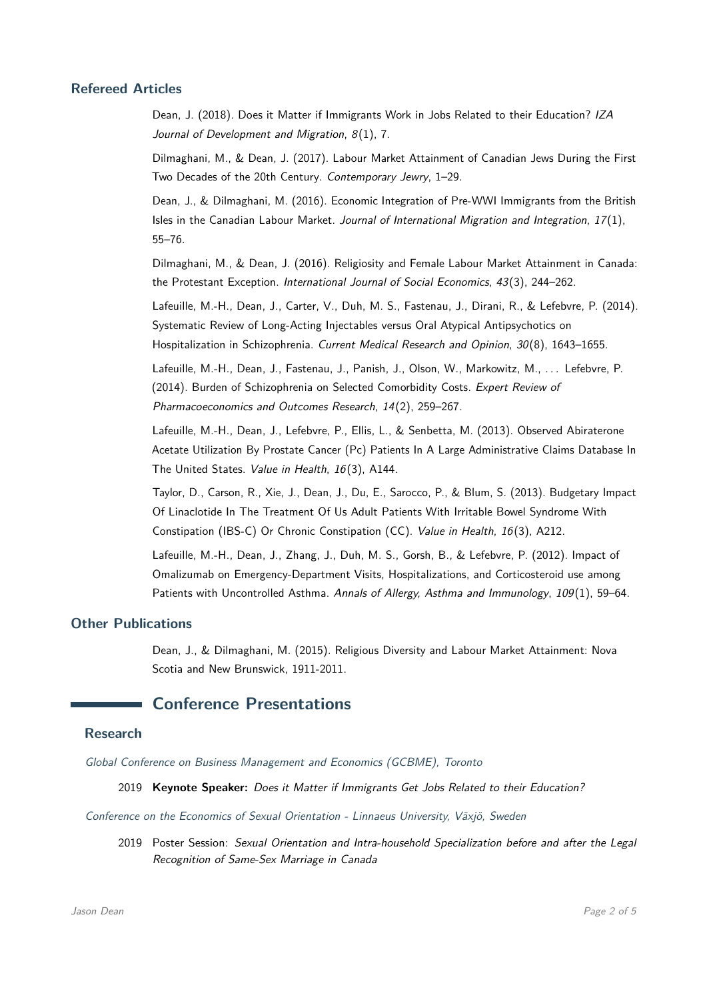#### **Refereed Articles**

Dean, J. (2018). Does it Matter if Immigrants Work in Jobs Related to their Education? IZA Journal of Development and Migration, 8(1), 7.

Dilmaghani, M., & Dean, J. (2017). Labour Market Attainment of Canadian Jews During the First Two Decades of the 20th Century. Contemporary Jewry, 1–29.

Dean, J., & Dilmaghani, M. (2016). Economic Integration of Pre-WWI Immigrants from the British Isles in the Canadian Labour Market. Journal of International Migration and Integration, 17(1), 55–76.

Dilmaghani, M., & Dean, J. (2016). Religiosity and Female Labour Market Attainment in Canada: the Protestant Exception. International Journal of Social Economics, 43(3), 244–262.

Lafeuille, M.-H., Dean, J., Carter, V., Duh, M. S., Fastenau, J., Dirani, R., & Lefebvre, P. (2014). Systematic Review of Long-Acting Injectables versus Oral Atypical Antipsychotics on Hospitalization in Schizophrenia. Current Medical Research and Opinion, 30(8), 1643-1655.

Lafeuille, M.-H., Dean, J., Fastenau, J., Panish, J., Olson, W., Markowitz, M., ... Lefebvre, P. (2014). Burden of Schizophrenia on Selected Comorbidity Costs. Expert Review of Pharmacoeconomics and Outcomes Research, 14(2), 259–267.

Lafeuille, M.-H., Dean, J., Lefebvre, P., Ellis, L., & Senbetta, M. (2013). Observed Abiraterone Acetate Utilization By Prostate Cancer (Pc) Patients In A Large Administrative Claims Database In The United States. Value in Health, 16(3), A144.

Taylor, D., Carson, R., Xie, J., Dean, J., Du, E., Sarocco, P., & Blum, S. (2013). Budgetary Impact Of Linaclotide In The Treatment Of Us Adult Patients With Irritable Bowel Syndrome With Constipation (IBS-C) Or Chronic Constipation (CC). Value in Health, 16(3), A212.

Lafeuille, M.-H., Dean, J., Zhang, J., Duh, M. S., Gorsh, B., & Lefebvre, P. (2012). Impact of Omalizumab on Emergency-Department Visits, Hospitalizations, and Corticosteroid use among Patients with Uncontrolled Asthma. Annals of Allergy, Asthma and Immunology, 109(1), 59-64.

#### **Other Publications**

Dean, J., & Dilmaghani, M. (2015). Religious Diversity and Labour Market Attainment: Nova Scotia and New Brunswick, 1911-2011.

## **Conference Presentations**

#### **Research**

Global Conference on Business Management and Economics (GCBME), Toronto

2019 **Keynote Speaker:** Does it Matter if Immigrants Get Jobs Related to their Education?

Conference on the Economics of Sexual Orientation - Linnaeus University, Växjö, Sweden

2019 Poster Session: Sexual Orientation and Intra-household Specialization before and after the Legal Recognition of Same-Sex Marriage in Canada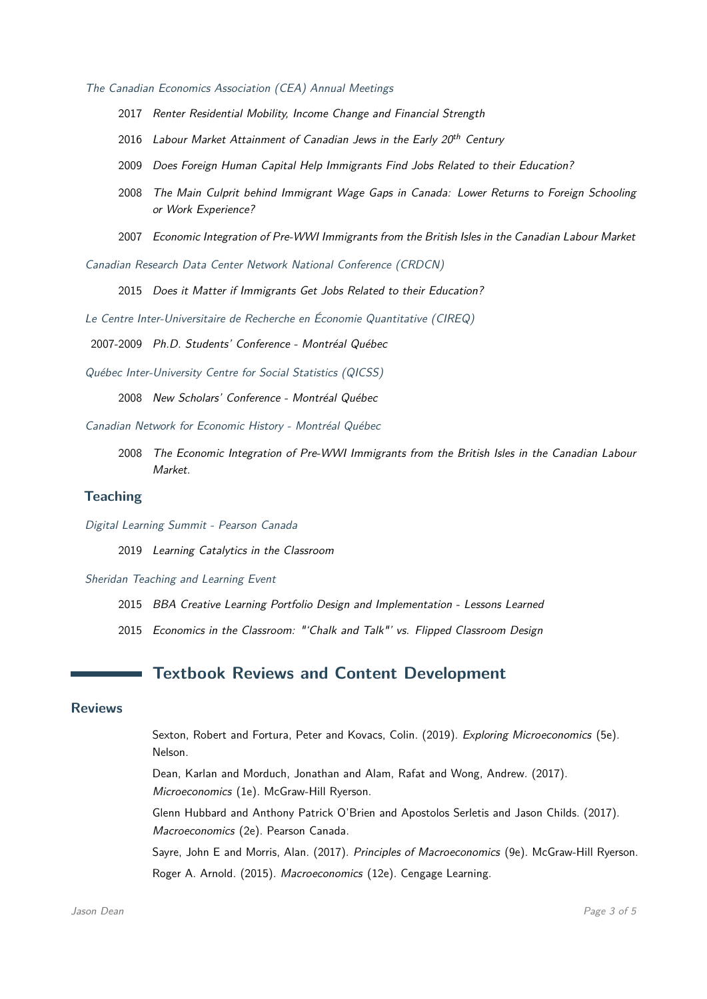The Canadian Economics Association (CEA) Annual Meetings

- 2017 Renter Residential Mobility, Income Change and Financial Strength
- 2016 Labour Market Attainment of Canadian Jews in the Early 20<sup>th</sup> Century
- 2009 Does Foreign Human Capital Help Immigrants Find Jobs Related to their Education?
- 2008 The Main Culprit behind Immigrant Wage Gaps in Canada: Lower Returns to Foreign Schooling or Work Experience?
- 2007 Economic Integration of Pre-WWI Immigrants from the British Isles in the Canadian Labour Market

Canadian Research Data Center Network National Conference (CRDCN)

2015 Does it Matter if Immigrants Get Jobs Related to their Education?

Le Centre Inter-Universitaire de Recherche en Économie Quantitative (CIREQ)

2007-2009 Ph.D. Students' Conference - Montréal Québec

Québec Inter-University Centre for Social Statistics (QICSS)

2008 New Scholars' Conference - Montréal Québec

Canadian Network for Economic History - Montréal Québec

2008 The Economic Integration of Pre-WWI Immigrants from the British Isles in the Canadian Labour Market.

#### **Teaching**

Digital Learning Summit - Pearson Canada

2019 Learning Catalytics in the Classroom

Sheridan Teaching and Learning Event

- 2015 BBA Creative Learning Portfolio Design and Implementation Lessons Learned
- 2015 Economics in the Classroom: "'Chalk and Talk"' vs. Flipped Classroom Design

# **Textbook Reviews and Content Development**

#### **Reviews**

Sexton, Robert and Fortura, Peter and Kovacs, Colin. (2019). Exploring Microeconomics (5e). Nelson.

Dean, Karlan and Morduch, Jonathan and Alam, Rafat and Wong, Andrew. (2017). Microeconomics (1e). McGraw-Hill Ryerson.

Glenn Hubbard and Anthony Patrick O'Brien and Apostolos Serletis and Jason Childs. (2017). Macroeconomics (2e). Pearson Canada.

Sayre, John E and Morris, Alan. (2017). Principles of Macroeconomics (9e). McGraw-Hill Ryerson. Roger A. Arnold. (2015). Macroeconomics (12e). Cengage Learning.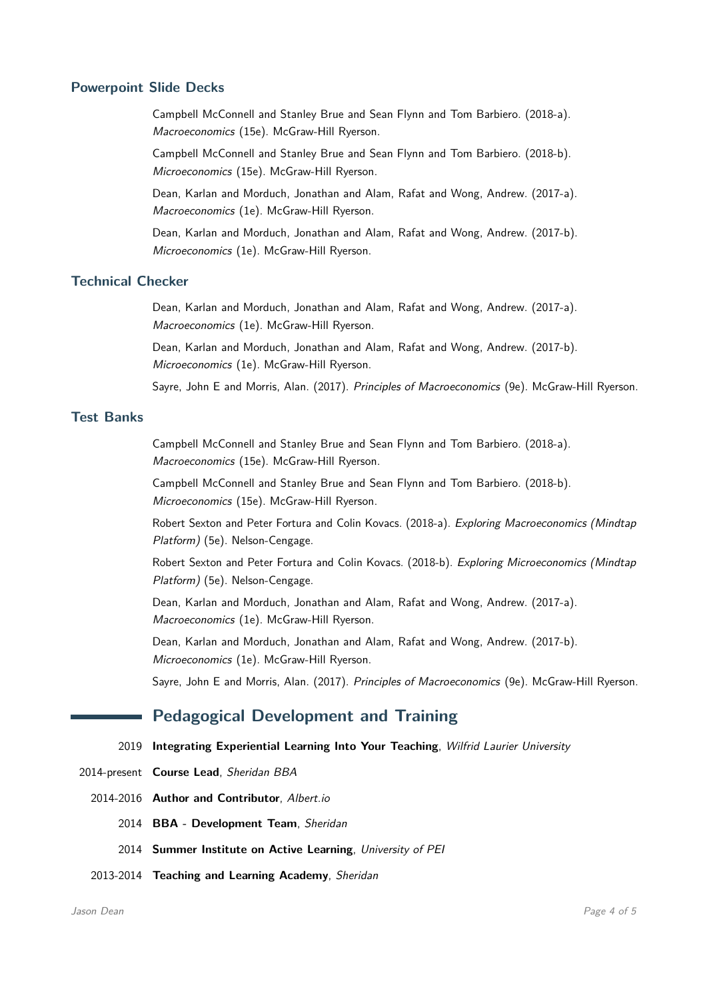#### **Powerpoint Slide Decks**

Campbell McConnell and Stanley Brue and Sean Flynn and Tom Barbiero. (2018-a). Macroeconomics (15e). McGraw-Hill Ryerson.

Campbell McConnell and Stanley Brue and Sean Flynn and Tom Barbiero. (2018-b). Microeconomics (15e). McGraw-Hill Ryerson.

Dean, Karlan and Morduch, Jonathan and Alam, Rafat and Wong, Andrew. (2017-a). Macroeconomics (1e). McGraw-Hill Ryerson.

Dean, Karlan and Morduch, Jonathan and Alam, Rafat and Wong, Andrew. (2017-b). Microeconomics (1e). McGraw-Hill Ryerson.

#### **Technical Checker**

Dean, Karlan and Morduch, Jonathan and Alam, Rafat and Wong, Andrew. (2017-a). Macroeconomics (1e). McGraw-Hill Ryerson.

Dean, Karlan and Morduch, Jonathan and Alam, Rafat and Wong, Andrew. (2017-b). Microeconomics (1e). McGraw-Hill Ryerson.

Sayre, John E and Morris, Alan. (2017). Principles of Macroeconomics (9e). McGraw-Hill Ryerson.

#### **Test Banks**

Campbell McConnell and Stanley Brue and Sean Flynn and Tom Barbiero. (2018-a). Macroeconomics (15e). McGraw-Hill Ryerson.

Campbell McConnell and Stanley Brue and Sean Flynn and Tom Barbiero. (2018-b). Microeconomics (15e). McGraw-Hill Ryerson.

Robert Sexton and Peter Fortura and Colin Kovacs. (2018-a). Exploring Macroeconomics (Mindtap Platform) (5e). Nelson-Cengage.

Robert Sexton and Peter Fortura and Colin Kovacs. (2018-b). Exploring Microeconomics (Mindtap Platform) (5e). Nelson-Cengage.

Dean, Karlan and Morduch, Jonathan and Alam, Rafat and Wong, Andrew. (2017-a). Macroeconomics (1e). McGraw-Hill Ryerson.

Dean, Karlan and Morduch, Jonathan and Alam, Rafat and Wong, Andrew. (2017-b). Microeconomics (1e). McGraw-Hill Ryerson.

Sayre, John E and Morris, Alan. (2017). Principles of Macroeconomics (9e). McGraw-Hill Ryerson.

## **Pedagogical Development and Training**

#### 2019 **Integrating Experiential Learning Into Your Teaching**, Wilfrid Laurier University

- 2014-present **Course Lead**, Sheridan BBA
	- 2014-2016 **Author and Contributor**, Albert.io
		- 2014 **BBA Development Team**, Sheridan
		- 2014 **Summer Institute on Active Learning**, University of PEI
	- 2013-2014 **Teaching and Learning Academy**, Sheridan